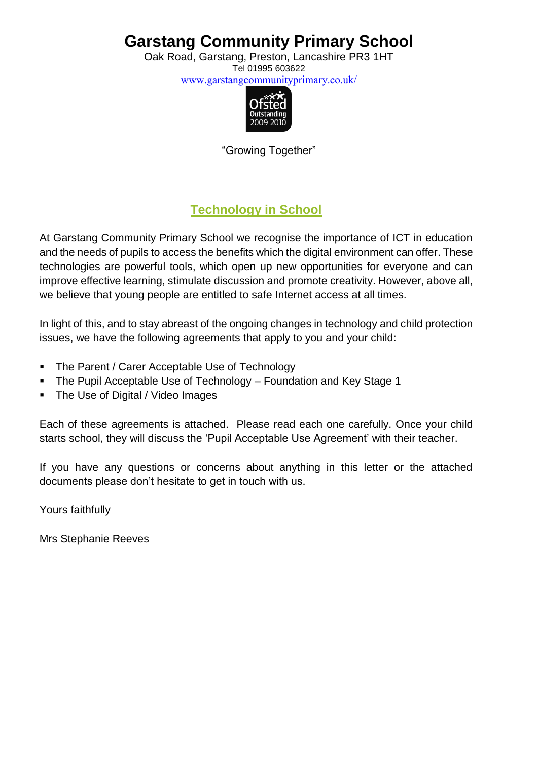Oak Road, Garstang, Preston, Lancashire PR3 1HT Tel 01995 603622

[www.garstangcommunityprimary.co.uk/](http://www.garstangcommunityprimary.co.uk/)



"Growing Together"

### **Technology in School**

At Garstang Community Primary School we recognise the importance of ICT in education and the needs of pupils to access the benefits which the digital environment can offer. These technologies are powerful tools, which open up new opportunities for everyone and can improve effective learning, stimulate discussion and promote creativity. However, above all, we believe that young people are entitled to safe Internet access at all times.

In light of this, and to stay abreast of the ongoing changes in technology and child protection issues, we have the following agreements that apply to you and your child:

- The Parent / Carer Acceptable Use of Technology
- The Pupil Acceptable Use of Technology Foundation and Key Stage 1
- The Use of Digital / Video Images

Each of these agreements is attached. Please read each one carefully. Once your child starts school, they will discuss the 'Pupil Acceptable Use Agreement' with their teacher.

If you have any questions or concerns about anything in this letter or the attached documents please don't hesitate to get in touch with us.

Yours faithfully

Mrs Stephanie Reeves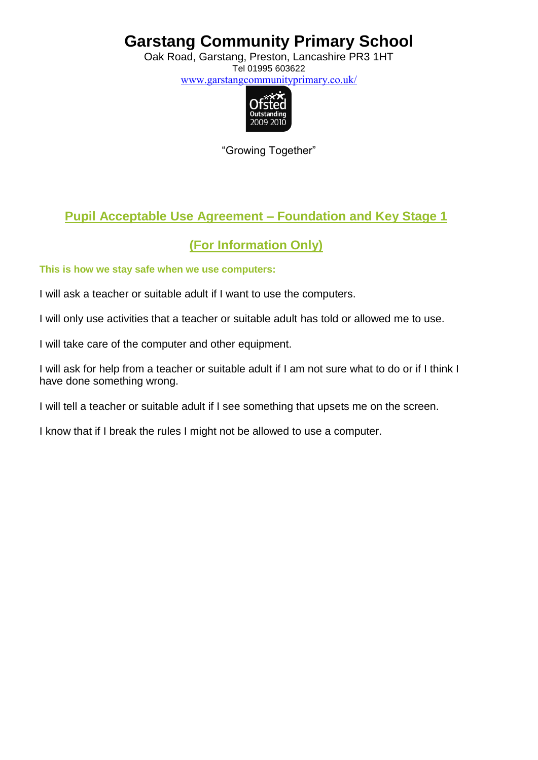Oak Road, Garstang, Preston, Lancashire PR3 1HT Tel 01995 603622 [www.garstangcommunityprimary.co.uk/](http://www.garstangcommunityprimary.co.uk/)



"Growing Together"

### **Pupil Acceptable Use Agreement – Foundation and Key Stage 1**

### **(For Information Only)**

#### **This is how we stay safe when we use computers:**

I will ask a teacher or suitable adult if I want to use the computers.

I will only use activities that a teacher or suitable adult has told or allowed me to use.

I will take care of the computer and other equipment.

I will ask for help from a teacher or suitable adult if I am not sure what to do or if I think I have done something wrong.

I will tell a teacher or suitable adult if I see something that upsets me on the screen.

I know that if I break the rules I might not be allowed to use a computer.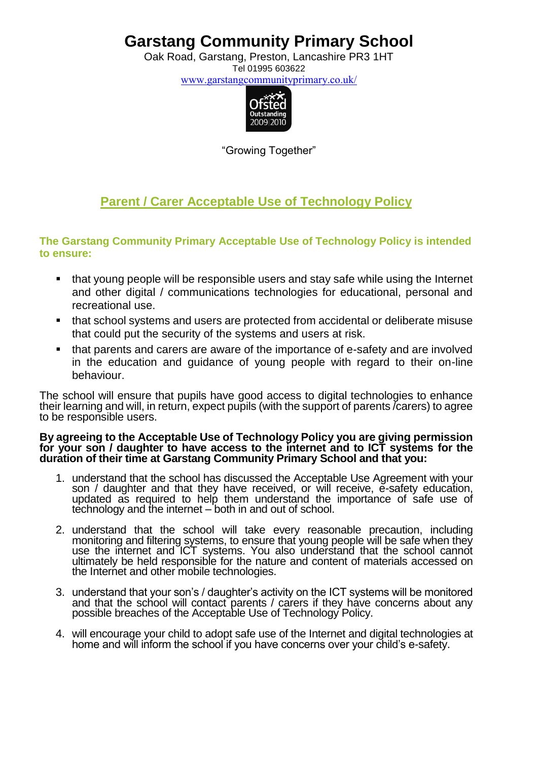Oak Road, Garstang, Preston, Lancashire PR3 1HT Tel 01995 603622

[www.garstangcommunityprimary.co.uk/](http://www.garstangcommunityprimary.co.uk/)



"Growing Together"

### **Parent / Carer Acceptable Use of Technology Policy**

#### **The Garstang Community Primary Acceptable Use of Technology Policy is intended to ensure:**

- that young people will be responsible users and stay safe while using the Internet and other digital / communications technologies for educational, personal and recreational use.
- that school systems and users are protected from accidental or deliberate misuse that could put the security of the systems and users at risk.
- that parents and carers are aware of the importance of e-safety and are involved in the education and guidance of young people with regard to their on-line behaviour.

The school will ensure that pupils have good access to digital technologies to enhance their learning and will, in return, expect pupils (with the support of parents /carers) to agree to be responsible users.

#### **By agreeing to the Acceptable Use of Technology Policy you are giving permission for your son / daughter to have access to the internet and to ICT systems for the duration of their time at Garstang Community Primary School and that you:**

- 1. understand that the school has discussed the Acceptable Use Agreement with your son / daughter and that they have received, or will receive, e-safety education, updated as required to help them understand the importance of safe use of technology and the internet – both in and out of school.
- 2. understand that the school will take every reasonable precaution, including monitoring and filtering systems, to ensure that young people will be safe when they use the internet and ICT systems. You also understand that the school cannot ultimately be held responsible for the nature and content of materials accessed on the Internet and other mobile technologies.
- 3. understand that your son's / daughter's activity on the ICT systems will be monitored and that the school will contact parents / carers if they have concerns about any possible breaches of the Acceptable Use of Technology Policy.
- 4. will encourage your child to adopt safe use of the Internet and digital technologies at home and will inform the school if you have concerns over your child's e-safety.